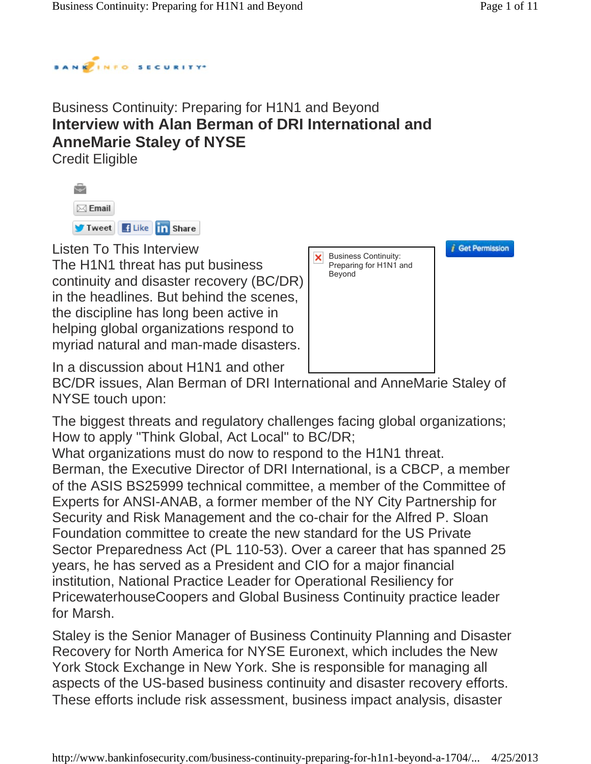

## Business Continuity: Preparing for H1N1 and Beyond **Interview with Alan Berman of DRI International and AnneMarie Staley of NYSE**

Credit Eligible

| $\bowtie$ Email       |  |  |
|-----------------------|--|--|
| Tweet f Like in Share |  |  |

Listen To This Interview

The H1N1 threat has put business continuity and disaster recovery (BC/DR) in the headlines. But behind the scenes, the discipline has long been active in helping global organizations respond to myriad natural and man-made disasters.



*i* Get Permission

In a discussion about H1N1 and other

BC/DR issues, Alan Berman of DRI International and AnneMarie Staley of NYSE touch upon:

The biggest threats and regulatory challenges facing global organizations; How to apply "Think Global, Act Local" to BC/DR;

What organizations must do now to respond to the H1N1 threat.

Berman, the Executive Director of DRI International, is a CBCP, a member of the ASIS BS25999 technical committee, a member of the Committee of Experts for ANSI-ANAB, a former member of the NY City Partnership for Security and Risk Management and the co-chair for the Alfred P. Sloan Foundation committee to create the new standard for the US Private Sector Preparedness Act (PL 110-53). Over a career that has spanned 25 years, he has served as a President and CIO for a major financial institution, National Practice Leader for Operational Resiliency for PricewaterhouseCoopers and Global Business Continuity practice leader for Marsh.

Staley is the Senior Manager of Business Continuity Planning and Disaster Recovery for North America for NYSE Euronext, which includes the New York Stock Exchange in New York. She is responsible for managing all aspects of the US-based business continuity and disaster recovery efforts. These efforts include risk assessment, business impact analysis, disaster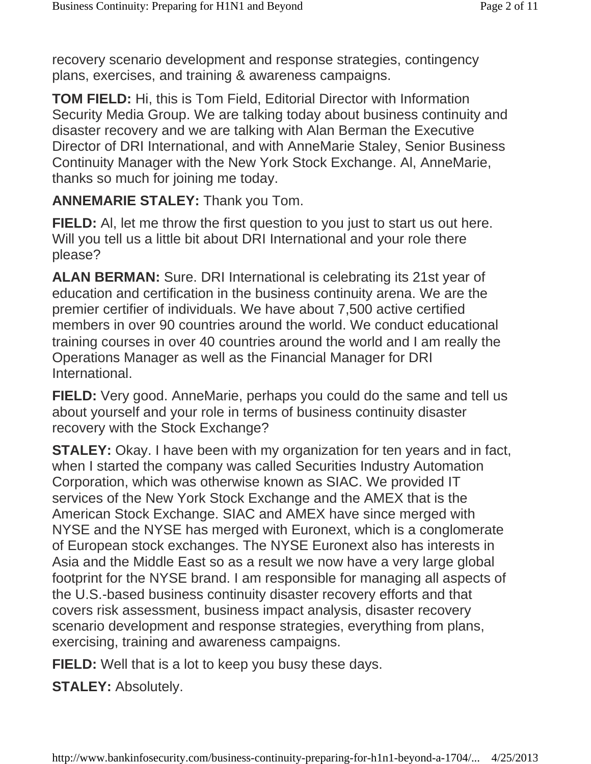recovery scenario development and response strategies, contingency plans, exercises, and training & awareness campaigns.

**TOM FIELD:** Hi, this is Tom Field, Editorial Director with Information Security Media Group. We are talking today about business continuity and disaster recovery and we are talking with Alan Berman the Executive Director of DRI International, and with AnneMarie Staley, Senior Business Continuity Manager with the New York Stock Exchange. Al, AnneMarie, thanks so much for joining me today.

**ANNEMARIE STALEY:** Thank you Tom.

**FIELD:** Al, let me throw the first question to you just to start us out here. Will you tell us a little bit about DRI International and your role there please?

**ALAN BERMAN:** Sure. DRI International is celebrating its 21st year of education and certification in the business continuity arena. We are the premier certifier of individuals. We have about 7,500 active certified members in over 90 countries around the world. We conduct educational training courses in over 40 countries around the world and I am really the Operations Manager as well as the Financial Manager for DRI International.

**FIELD:** Very good. AnneMarie, perhaps you could do the same and tell us about yourself and your role in terms of business continuity disaster recovery with the Stock Exchange?

**STALEY:** Okay. I have been with my organization for ten years and in fact, when I started the company was called Securities Industry Automation Corporation, which was otherwise known as SIAC. We provided IT services of the New York Stock Exchange and the AMEX that is the American Stock Exchange. SIAC and AMEX have since merged with NYSE and the NYSE has merged with Euronext, which is a conglomerate of European stock exchanges. The NYSE Euronext also has interests in Asia and the Middle East so as a result we now have a very large global footprint for the NYSE brand. I am responsible for managing all aspects of the U.S.-based business continuity disaster recovery efforts and that covers risk assessment, business impact analysis, disaster recovery scenario development and response strategies, everything from plans, exercising, training and awareness campaigns.

**FIELD:** Well that is a lot to keep you busy these days.

**STALEY:** Absolutely.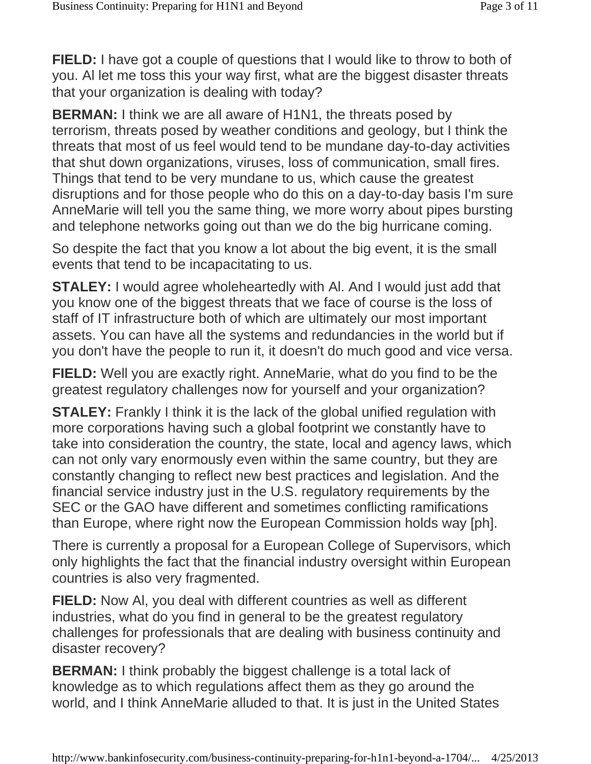**FIELD:** I have got a couple of questions that I would like to throw to both of you. Al let me toss this your way first, what are the biggest disaster threats that your organization is dealing with today?

**BERMAN:** I think we are all aware of H1N1, the threats posed by terrorism, threats posed by weather conditions and geology, but I think the threats that most of us feel would tend to be mundane day-to-day activities that shut down organizations, viruses, loss of communication, small fires. Things that tend to be very mundane to us, which cause the greatest disruptions and for those people who do this on a day-to-day basis I'm sure AnneMarie will tell you the same thing, we more worry about pipes bursting and telephone networks going out than we do the big hurricane coming.

So despite the fact that you know a lot about the big event, it is the small events that tend to be incapacitating to us.

**STALEY:** I would agree wholeheartedly with Al. And I would just add that you know one of the biggest threats that we face of course is the loss of staff of IT infrastructure both of which are ultimately our most important assets. You can have all the systems and redundancies in the world but if you don't have the people to run it, it doesn't do much good and vice versa.

**FIELD:** Well you are exactly right. AnneMarie, what do you find to be the greatest regulatory challenges now for yourself and your organization?

**STALEY:** Frankly I think it is the lack of the global unified regulation with more corporations having such a global footprint we constantly have to take into consideration the country, the state, local and agency laws, which can not only vary enormously even within the same country, but they are constantly changing to reflect new best practices and legislation. And the financial service industry just in the U.S. regulatory requirements by the SEC or the GAO have different and sometimes conflicting ramifications than Europe, where right now the European Commission holds way [ph].

There is currently a proposal for a European College of Supervisors, which only highlights the fact that the financial industry oversight within European countries is also very fragmented.

**FIELD:** Now Al, you deal with different countries as well as different industries, what do you find in general to be the greatest regulatory challenges for professionals that are dealing with business continuity and disaster recovery?

**BERMAN:** I think probably the biggest challenge is a total lack of knowledge as to which regulations affect them as they go around the world, and I think AnneMarie alluded to that. It is just in the United States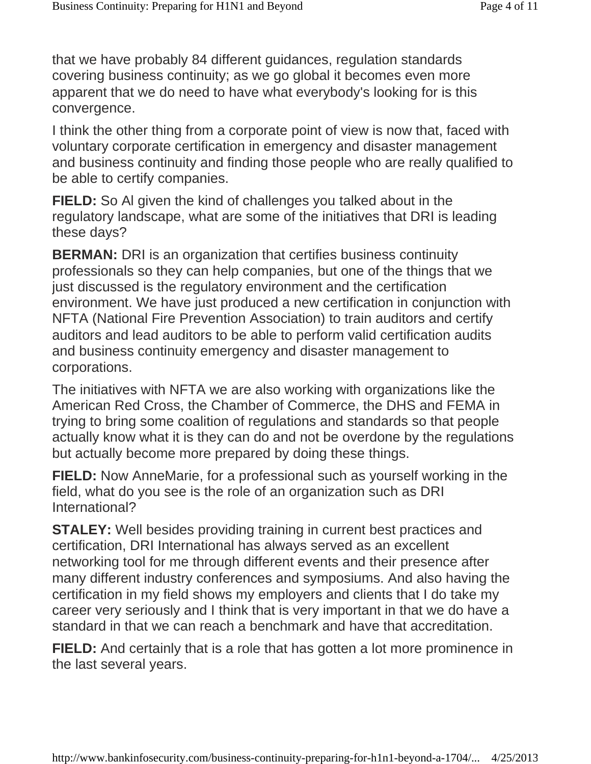that we have probably 84 different guidances, regulation standards covering business continuity; as we go global it becomes even more apparent that we do need to have what everybody's looking for is this convergence.

I think the other thing from a corporate point of view is now that, faced with voluntary corporate certification in emergency and disaster management and business continuity and finding those people who are really qualified to be able to certify companies.

**FIELD:** So Al given the kind of challenges you talked about in the regulatory landscape, what are some of the initiatives that DRI is leading these days?

**BERMAN:** DRI is an organization that certifies business continuity professionals so they can help companies, but one of the things that we just discussed is the regulatory environment and the certification environment. We have just produced a new certification in conjunction with NFTA (National Fire Prevention Association) to train auditors and certify auditors and lead auditors to be able to perform valid certification audits and business continuity emergency and disaster management to corporations.

The initiatives with NFTA we are also working with organizations like the American Red Cross, the Chamber of Commerce, the DHS and FEMA in trying to bring some coalition of regulations and standards so that people actually know what it is they can do and not be overdone by the regulations but actually become more prepared by doing these things.

**FIELD:** Now AnneMarie, for a professional such as yourself working in the field, what do you see is the role of an organization such as DRI International?

**STALEY:** Well besides providing training in current best practices and certification, DRI International has always served as an excellent networking tool for me through different events and their presence after many different industry conferences and symposiums. And also having the certification in my field shows my employers and clients that I do take my career very seriously and I think that is very important in that we do have a standard in that we can reach a benchmark and have that accreditation.

**FIELD:** And certainly that is a role that has gotten a lot more prominence in the last several years.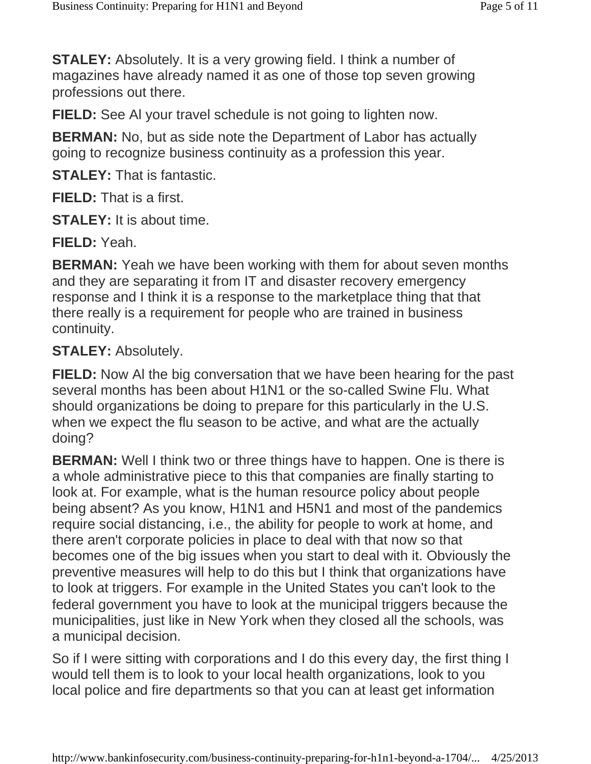**STALEY:** Absolutely. It is a very growing field. I think a number of magazines have already named it as one of those top seven growing professions out there.

**FIELD:** See Al your travel schedule is not going to lighten now.

**BERMAN:** No, but as side note the Department of Labor has actually going to recognize business continuity as a profession this year.

**STALEY:** That is fantastic.

**FIELD:** That is a first.

**STALEY:** It is about time.

**FIELD:** Yeah.

**BERMAN:** Yeah we have been working with them for about seven months and they are separating it from IT and disaster recovery emergency response and I think it is a response to the marketplace thing that that there really is a requirement for people who are trained in business continuity.

### **STALEY:** Absolutely.

**FIELD:** Now Al the big conversation that we have been hearing for the past several months has been about H1N1 or the so-called Swine Flu. What should organizations be doing to prepare for this particularly in the U.S. when we expect the flu season to be active, and what are the actually doing?

**BERMAN:** Well I think two or three things have to happen. One is there is a whole administrative piece to this that companies are finally starting to look at. For example, what is the human resource policy about people being absent? As you know, H1N1 and H5N1 and most of the pandemics require social distancing, i.e., the ability for people to work at home, and there aren't corporate policies in place to deal with that now so that becomes one of the big issues when you start to deal with it. Obviously the preventive measures will help to do this but I think that organizations have to look at triggers. For example in the United States you can't look to the federal government you have to look at the municipal triggers because the municipalities, just like in New York when they closed all the schools, was a municipal decision.

So if I were sitting with corporations and I do this every day, the first thing I would tell them is to look to your local health organizations, look to you local police and fire departments so that you can at least get information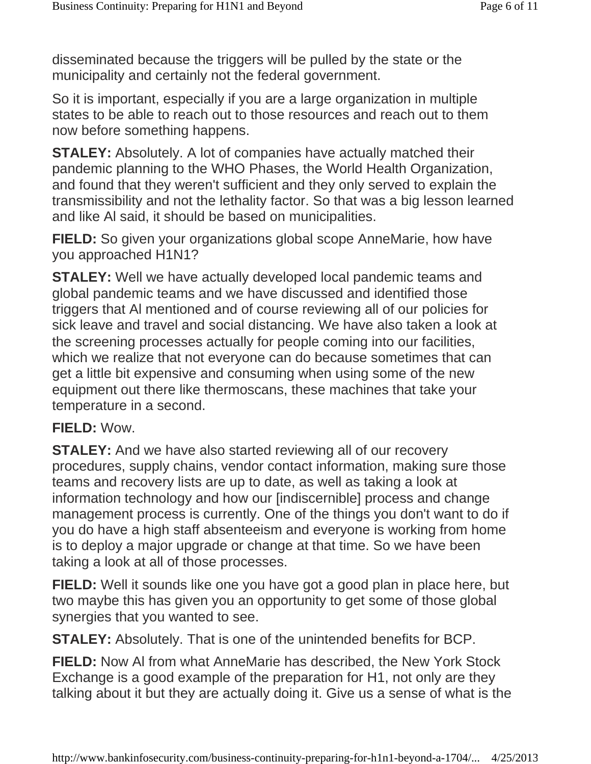disseminated because the triggers will be pulled by the state or the municipality and certainly not the federal government.

So it is important, especially if you are a large organization in multiple states to be able to reach out to those resources and reach out to them now before something happens.

**STALEY:** Absolutely. A lot of companies have actually matched their pandemic planning to the WHO Phases, the World Health Organization, and found that they weren't sufficient and they only served to explain the transmissibility and not the lethality factor. So that was a big lesson learned and like Al said, it should be based on municipalities.

**FIELD:** So given your organizations global scope AnneMarie, how have you approached H1N1?

**STALEY:** Well we have actually developed local pandemic teams and global pandemic teams and we have discussed and identified those triggers that Al mentioned and of course reviewing all of our policies for sick leave and travel and social distancing. We have also taken a look at the screening processes actually for people coming into our facilities, which we realize that not everyone can do because sometimes that can get a little bit expensive and consuming when using some of the new equipment out there like thermoscans, these machines that take your temperature in a second.

#### **FIELD:** Wow.

**STALEY:** And we have also started reviewing all of our recovery procedures, supply chains, vendor contact information, making sure those teams and recovery lists are up to date, as well as taking a look at information technology and how our [indiscernible] process and change management process is currently. One of the things you don't want to do if you do have a high staff absenteeism and everyone is working from home is to deploy a major upgrade or change at that time. So we have been taking a look at all of those processes.

**FIELD:** Well it sounds like one you have got a good plan in place here, but two maybe this has given you an opportunity to get some of those global synergies that you wanted to see.

**STALEY:** Absolutely. That is one of the unintended benefits for BCP.

**FIELD:** Now Al from what AnneMarie has described, the New York Stock Exchange is a good example of the preparation for H1, not only are they talking about it but they are actually doing it. Give us a sense of what is the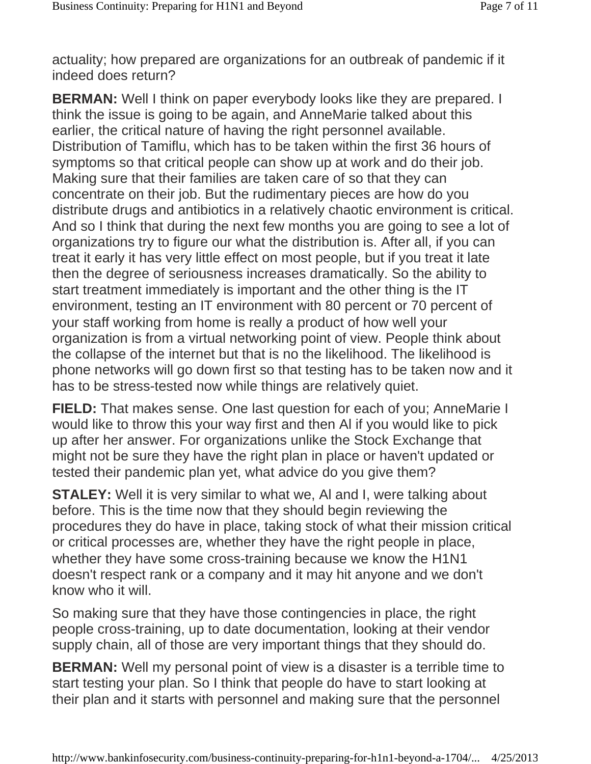actuality; how prepared are organizations for an outbreak of pandemic if it indeed does return?

**BERMAN:** Well I think on paper everybody looks like they are prepared. I think the issue is going to be again, and AnneMarie talked about this earlier, the critical nature of having the right personnel available. Distribution of Tamiflu, which has to be taken within the first 36 hours of symptoms so that critical people can show up at work and do their job. Making sure that their families are taken care of so that they can concentrate on their job. But the rudimentary pieces are how do you distribute drugs and antibiotics in a relatively chaotic environment is critical. And so I think that during the next few months you are going to see a lot of organizations try to figure our what the distribution is. After all, if you can treat it early it has very little effect on most people, but if you treat it late then the degree of seriousness increases dramatically. So the ability to start treatment immediately is important and the other thing is the IT environment, testing an IT environment with 80 percent or 70 percent of your staff working from home is really a product of how well your organization is from a virtual networking point of view. People think about the collapse of the internet but that is no the likelihood. The likelihood is phone networks will go down first so that testing has to be taken now and it has to be stress-tested now while things are relatively quiet.

**FIELD:** That makes sense. One last question for each of you; AnneMarie I would like to throw this your way first and then Al if you would like to pick up after her answer. For organizations unlike the Stock Exchange that might not be sure they have the right plan in place or haven't updated or tested their pandemic plan yet, what advice do you give them?

**STALEY:** Well it is very similar to what we, AI and I, were talking about before. This is the time now that they should begin reviewing the procedures they do have in place, taking stock of what their mission critical or critical processes are, whether they have the right people in place, whether they have some cross-training because we know the H1N1 doesn't respect rank or a company and it may hit anyone and we don't know who it will.

So making sure that they have those contingencies in place, the right people cross-training, up to date documentation, looking at their vendor supply chain, all of those are very important things that they should do.

**BERMAN:** Well my personal point of view is a disaster is a terrible time to start testing your plan. So I think that people do have to start looking at their plan and it starts with personnel and making sure that the personnel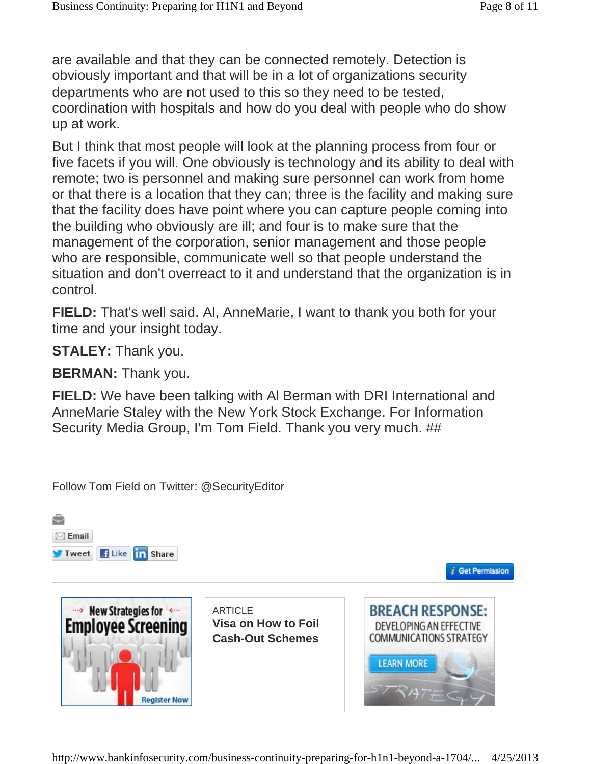are available and that they can be connected remotely. Detection is obviously important and that will be in a lot of organizations security departments who are not used to this so they need to be tested, coordination with hospitals and how do you deal with people who do show up at work.

But I think that most people will look at the planning process from four or five facets if you will. One obviously is technology and its ability to deal with remote; two is personnel and making sure personnel can work from home or that there is a location that they can; three is the facility and making sure that the facility does have point where you can capture people coming into the building who obviously are ill; and four is to make sure that the management of the corporation, senior management and those people who are responsible, communicate well so that people understand the situation and don't overreact to it and understand that the organization is in control.

**FIELD:** That's well said. Al, AnneMarie, I want to thank you both for your time and your insight today.

**STALEY:** Thank you.

**BERMAN:** Thank you.

**FIELD:** We have been talking with Al Berman with DRI International and AnneMarie Staley with the New York Stock Exchange. For Information Security Media Group, I'm Tom Field. Thank you very much. ##

Follow Tom Field on Twitter: @SecurityEditor





**ARTICLE Visa on How to Foil Cash-Out Schemes**



*i* Get Permission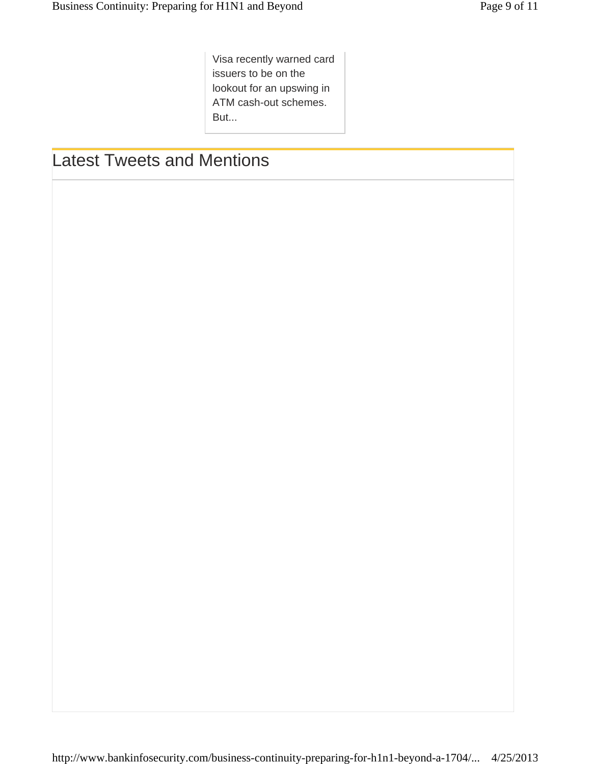Visa recently warned card issuers to be on the lookout for an upswing in ATM cash-out schemes. But...

# Latest Tweets and Mentions